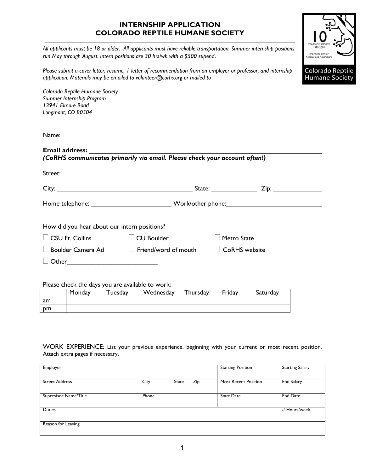## INTERNSHIP APPLICATION COLORADO REPTILE HUMANE SOCIETY

All applicants must be 18 or older. All applicants must have reliable transportation. Summer internship positions run May through August. Intern positions are 30 hrs/wk with a \$500 stipend.

Improving Life fo

Colorado Reptile **Humane Society** 

Please submit a cover letter, resume, I letter of recommendation from an employer or professor, and internship application. Materials may be emailed to volunteer@corhs.org or mailed to



Longmont, CO 80504

Name:

| (CoRHS communicates primarily via email. Please check your account often!) |                      |               |  |  |  |  |  |  |  |
|----------------------------------------------------------------------------|----------------------|---------------|--|--|--|--|--|--|--|
|                                                                            |                      |               |  |  |  |  |  |  |  |
|                                                                            |                      |               |  |  |  |  |  |  |  |
|                                                                            |                      |               |  |  |  |  |  |  |  |
| How did you hear about our intern positions?                               |                      |               |  |  |  |  |  |  |  |
| CSU Ft. Collins                                                            | <b>CU Boulder</b>    | Metro State   |  |  |  |  |  |  |  |
| Boulder Camera Ad                                                          | Friend/word of mouth | CoRHS website |  |  |  |  |  |  |  |

Other  $\Box$ 

Please check the days you are available to work:

|    | Monday | uesday | Wednesday | Thursday | Friday | Saturday |
|----|--------|--------|-----------|----------|--------|----------|
| am |        |        |           |          |        |          |
| рm |        |        |           |          |        |          |

WORK EXPERIENCE: List your previous experience, beginning with your current or most recent position. Attach extra pages if necessary.

| Employer              |       |       |     | <b>Starting Position</b>    | <b>Starting Salary</b> |
|-----------------------|-------|-------|-----|-----------------------------|------------------------|
|                       |       |       |     |                             |                        |
| <b>Street Address</b> | City  | State | Zip | <b>Most Recent Position</b> | <b>End Salary</b>      |
|                       |       |       |     |                             |                        |
| Supervisor Name/Title | Phone |       |     | <b>Start Date</b>           | <b>End Date</b>        |
|                       |       |       |     |                             |                        |
| <b>Duties</b>         |       |       |     |                             | # Hours/week           |
|                       |       |       |     |                             |                        |
| Reason for Leaving    |       |       |     |                             |                        |
|                       |       |       |     |                             |                        |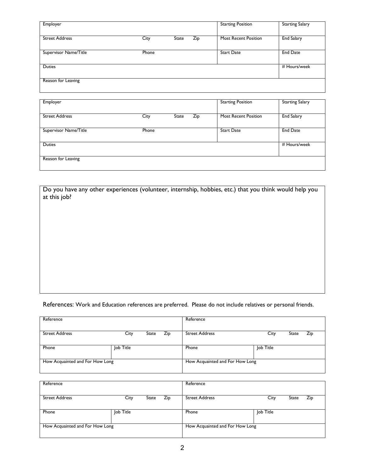| Employer              |       |                     | <b>Starting Position</b>    | <b>Starting Salary</b> |
|-----------------------|-------|---------------------|-----------------------------|------------------------|
| <b>Street Address</b> | City  | Zip<br><b>State</b> | <b>Most Recent Position</b> | <b>End Salary</b>      |
| Supervisor Name/Title | Phone |                     | <b>Start Date</b>           | <b>End Date</b>        |
| <b>Duties</b>         |       |                     |                             | # Hours/week           |
| Reason for Leaving    |       |                     |                             |                        |
|                       |       |                     |                             |                        |

| Employer              |       |                     | <b>Starting Position</b> | <b>Starting Salary</b> |
|-----------------------|-------|---------------------|--------------------------|------------------------|
| <b>Street Address</b> | City  | Zip<br><b>State</b> | Most Recent Position     | <b>End Salary</b>      |
| Supervisor Name/Title | Phone |                     | <b>Start Date</b>        | <b>End Date</b>        |
| <b>Duties</b>         |       |                     |                          | # Hours/week           |
| Reason for Leaving    |       |                     |                          |                        |

Do you have any other experiences (volunteer, internship, hobbies, etc.) that you think would help you at this job?

## References: Work and Education references are preferred. Please do not include relatives or personal friends.

| Reference                       |           |                                 |     | Reference             |           |       |     |
|---------------------------------|-----------|---------------------------------|-----|-----------------------|-----------|-------|-----|
| <b>Street Address</b>           | City      | State                           | Zip | <b>Street Address</b> | City      | State | Zip |
| Phone                           | Job Title |                                 |     | Phone                 | Job Title |       |     |
| How Acquainted and For How Long |           | How Acquainted and For How Long |     |                       |           |       |     |

| Reference                       |           |       |     | Reference                       |           |       |     |
|---------------------------------|-----------|-------|-----|---------------------------------|-----------|-------|-----|
| <b>Street Address</b>           | City      | State | Zip | <b>Street Address</b>           | City      | State | Zip |
| Phone                           | Job Title |       |     | Phone                           | Job Title |       |     |
| How Acquainted and For How Long |           |       |     | How Acquainted and For How Long |           |       |     |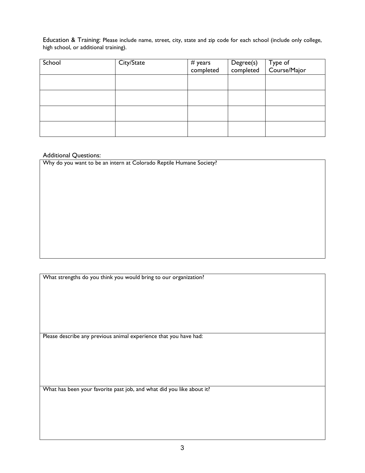Education & Training: Please include name, street, city, state and zip code for each school (include only college, high school, or additional training).

| School | City/State | # years<br>completed | Degree(s)<br>completed | Type of<br>Course/Major |
|--------|------------|----------------------|------------------------|-------------------------|
|        |            |                      |                        |                         |
|        |            |                      |                        |                         |
|        |            |                      |                        |                         |
|        |            |                      |                        |                         |

## Additional Questions:

Why do you want to be an intern at Colorado Reptile Humane Society?

What strengths do you think you would bring to our organization?

Please describe any previous animal experience that you have had:

What has been your favorite past job, and what did you like about it?